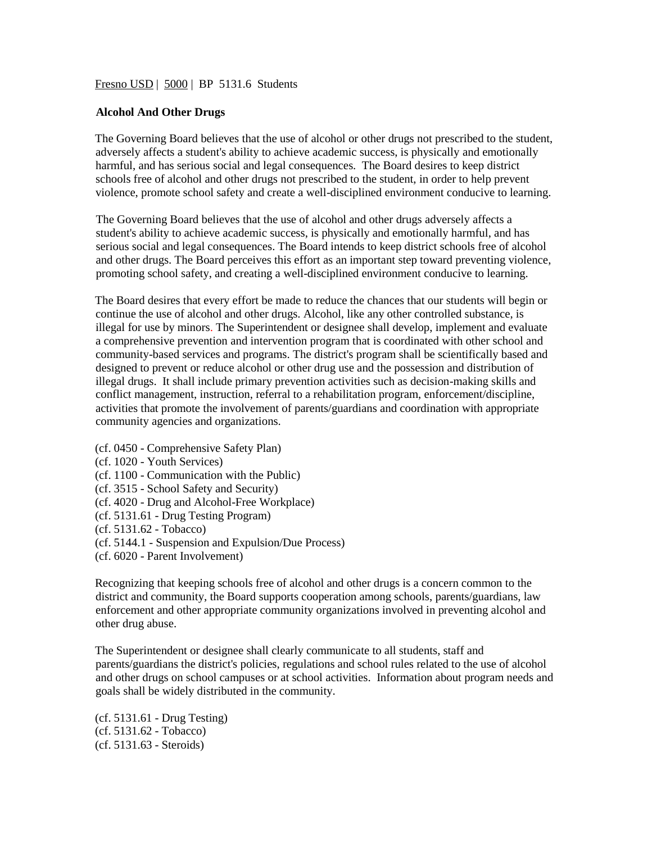### Fresno USD | 5000 | BP 5131.6 Students

### **Alcohol And Other Drugs**

The Governing Board believes that the use of alcohol or other drugs not prescribed to the student, adversely affects a student's ability to achieve academic success, is physically and emotionally harmful, and has serious social and legal consequences. The Board desires to keep district schools free of alcohol and other drugs not prescribed to the student, in order to help prevent violence, promote school safety and create a well-disciplined environment conducive to learning.

The Governing Board believes that the use of alcohol and other drugs adversely affects a student's ability to achieve academic success, is physically and emotionally harmful, and has serious social and legal consequences. The Board intends to keep district schools free of alcohol and other drugs. The Board perceives this effort as an important step toward preventing violence, promoting school safety, and creating a well-disciplined environment conducive to learning.

The Board desires that every effort be made to reduce the chances that our students will begin or continue the use of alcohol and other drugs. Alcohol, like any other controlled substance, is illegal for use by minors. The Superintendent or designee shall develop, implement and evaluate a comprehensive prevention and intervention program that is coordinated with other school and community-based services and programs. The district's program shall be scientifically based and designed to prevent or reduce alcohol or other drug use and the possession and distribution of illegal drugs. It shall include primary prevention activities such as decision-making skills and conflict management, instruction, referral to a rehabilitation program, enforcement/discipline, activities that promote the involvement of parents/guardians and coordination with appropriate community agencies and organizations.

- (cf. 0450 Comprehensive Safety Plan)
- (cf. 1020 Youth Services)
- (cf. 1100 Communication with the Public)
- (cf. 3515 School Safety and Security)
- (cf. 4020 Drug and Alcohol-Free Workplace)
- (cf. 5131.61 Drug Testing Program)
- (cf. 5131.62 Tobacco)
- (cf. 5144.1 Suspension and Expulsion/Due Process)
- (cf. 6020 Parent Involvement)

Recognizing that keeping schools free of alcohol and other drugs is a concern common to the district and community, the Board supports cooperation among schools, parents/guardians, law enforcement and other appropriate community organizations involved in preventing alcohol and other drug abuse.

The Superintendent or designee shall clearly communicate to all students, staff and parents/guardians the district's policies, regulations and school rules related to the use of alcohol and other drugs on school campuses or at school activities. Information about program needs and goals shall be widely distributed in the community.

(cf. 5131.61 - Drug Testing) (cf. 5131.62 - Tobacco) (cf. 5131.63 - Steroids)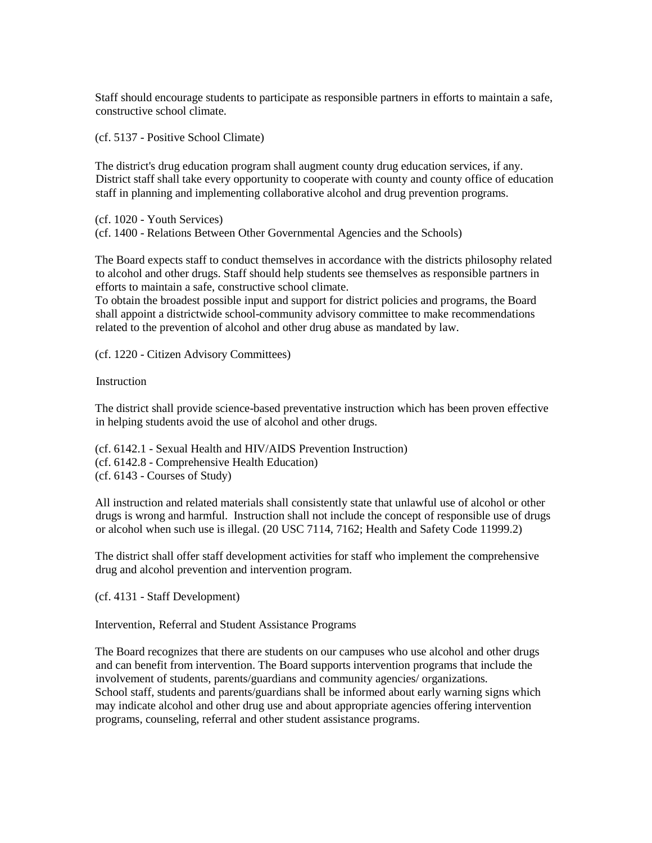Staff should encourage students to participate as responsible partners in efforts to maintain a safe, constructive school climate.

(cf. 5137 - Positive School Climate)

The district's drug education program shall augment county drug education services, if any. District staff shall take every opportunity to cooperate with county and county office of education staff in planning and implementing collaborative alcohol and drug prevention programs.

(cf. 1020 - Youth Services)

(cf. 1400 - Relations Between Other Governmental Agencies and the Schools)

The Board expects staff to conduct themselves in accordance with the districts philosophy related to alcohol and other drugs. Staff should help students see themselves as responsible partners in efforts to maintain a safe, constructive school climate.

To obtain the broadest possible input and support for district policies and programs, the Board shall appoint a districtwide school-community advisory committee to make recommendations related to the prevention of alcohol and other drug abuse as mandated by law.

(cf. 1220 - Citizen Advisory Committees)

**Instruction** 

The district shall provide science-based preventative instruction which has been proven effective in helping students avoid the use of alcohol and other drugs.

(cf. 6142.1 - Sexual Health and HIV/AIDS Prevention Instruction) (cf. 6142.8 - Comprehensive Health Education) (cf. 6143 - Courses of Study)

All instruction and related materials shall consistently state that unlawful use of alcohol or other drugs is wrong and harmful. Instruction shall not include the concept of responsible use of drugs or alcohol when such use is illegal. (20 USC 7114, 7162; Health and Safety Code 11999.2)

The district shall offer staff development activities for staff who implement the comprehensive drug and alcohol prevention and intervention program.

(cf. 4131 - Staff Development)

Intervention, Referral and Student Assistance Programs

The Board recognizes that there are students on our campuses who use alcohol and other drugs and can benefit from intervention. The Board supports intervention programs that include the involvement of students, parents/guardians and community agencies/ organizations. School staff, students and parents/guardians shall be informed about early warning signs which may indicate alcohol and other drug use and about appropriate agencies offering intervention programs, counseling, referral and other student assistance programs.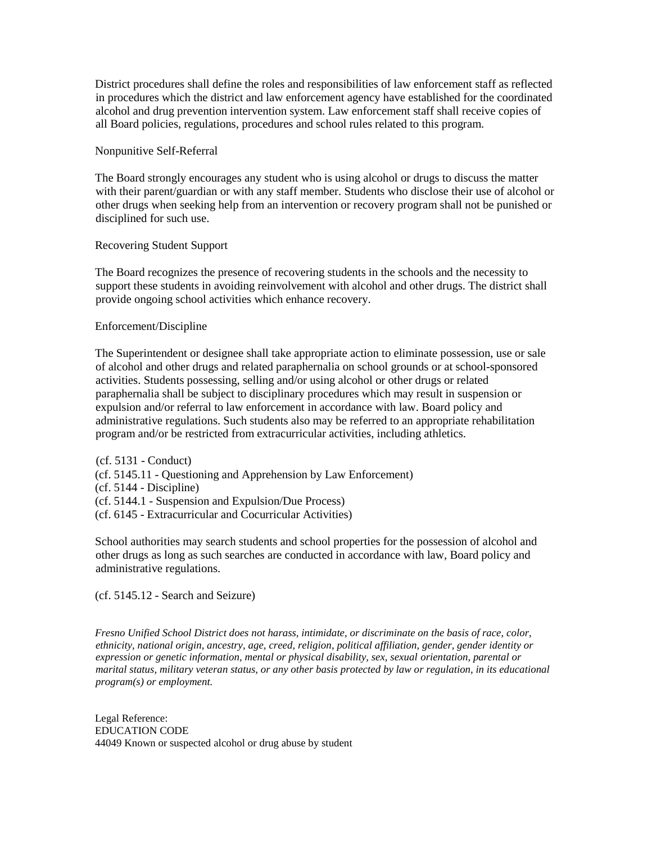District procedures shall define the roles and responsibilities of law enforcement staff as reflected in procedures which the district and law enforcement agency have established for the coordinated alcohol and drug prevention intervention system. Law enforcement staff shall receive copies of all Board policies, regulations, procedures and school rules related to this program.

## Nonpunitive Self-Referral

The Board strongly encourages any student who is using alcohol or drugs to discuss the matter with their parent/guardian or with any staff member. Students who disclose their use of alcohol or other drugs when seeking help from an intervention or recovery program shall not be punished or disciplined for such use.

## Recovering Student Support

The Board recognizes the presence of recovering students in the schools and the necessity to support these students in avoiding reinvolvement with alcohol and other drugs. The district shall provide ongoing school activities which enhance recovery.

# Enforcement/Discipline

The Superintendent or designee shall take appropriate action to eliminate possession, use or sale of alcohol and other drugs and related paraphernalia on school grounds or at school-sponsored activities. Students possessing, selling and/or using alcohol or other drugs or related paraphernalia shall be subject to disciplinary procedures which may result in suspension or expulsion and/or referral to law enforcement in accordance with law. Board policy and administrative regulations. Such students also may be referred to an appropriate rehabilitation program and/or be restricted from extracurricular activities, including athletics.

(cf. 5131 - Conduct) (cf. 5145.11 - Questioning and Apprehension by Law Enforcement) (cf. 5144 - Discipline) (cf. 5144.1 - Suspension and Expulsion/Due Process) (cf. 6145 - Extracurricular and Cocurricular Activities)

School authorities may search students and school properties for the possession of alcohol and other drugs as long as such searches are conducted in accordance with law, Board policy and administrative regulations.

(cf. 5145.12 - Search and Seizure)

*Fresno Unified School District does not harass, intimidate, or discriminate on the basis of race, color, ethnicity, national origin, ancestry, age, creed, religion, political affiliation, gender, gender identity or expression or genetic information, mental or physical disability, sex, sexual orientation, parental or marital status, military veteran status, or any other basis protected by law or regulation, in its educational program(s) or employment.*

Legal Reference: EDUCATION CODE 44049 Known or suspected alcohol or drug abuse by student